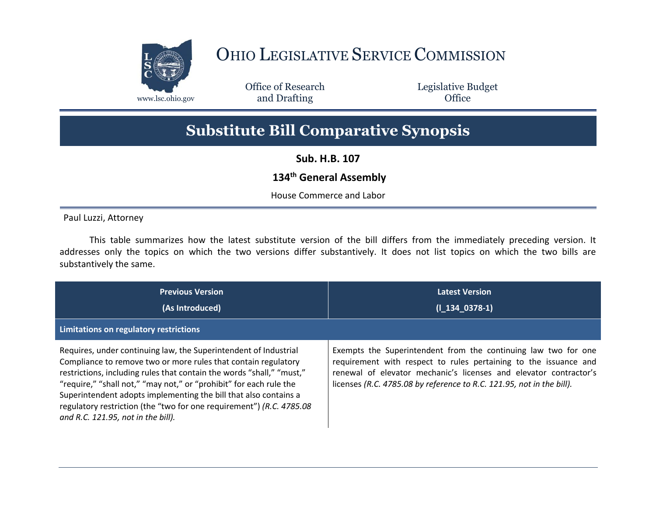

## OHIO LEGISLATIVE SERVICE COMMISSION

Office of Research www.lsc.ohio.gov **and Drafting Office** 

Legislative Budget

## **Substitute Bill Comparative Synopsis**

**Sub. H.B. 107**

## **134th General Assembly**

House Commerce and Labor

Paul Luzzi, Attorney

This table summarizes how the latest substitute version of the bill differs from the immediately preceding version. It addresses only the topics on which the two versions differ substantively. It does not list topics on which the two bills are substantively the same.

| <b>Previous Version</b><br>(As Introduced)<br>Limitations on regulatory restrictions                                                                                                                                                                                                                                                                                                                                                                                | <b>Latest Version</b><br>$(I_134_0378-1)$                                                                                                                                                                                                                                        |
|---------------------------------------------------------------------------------------------------------------------------------------------------------------------------------------------------------------------------------------------------------------------------------------------------------------------------------------------------------------------------------------------------------------------------------------------------------------------|----------------------------------------------------------------------------------------------------------------------------------------------------------------------------------------------------------------------------------------------------------------------------------|
| Requires, under continuing law, the Superintendent of Industrial<br>Compliance to remove two or more rules that contain regulatory<br>restrictions, including rules that contain the words "shall," "must,"<br>"require," "shall not," "may not," or "prohibit" for each rule the<br>Superintendent adopts implementing the bill that also contains a<br>regulatory restriction (the "two for one requirement") (R.C. 4785.08<br>and R.C. 121.95, not in the bill). | Exempts the Superintendent from the continuing law two for one<br>requirement with respect to rules pertaining to the issuance and<br>renewal of elevator mechanic's licenses and elevator contractor's<br>licenses (R.C. 4785.08 by reference to R.C. 121.95, not in the bill). |